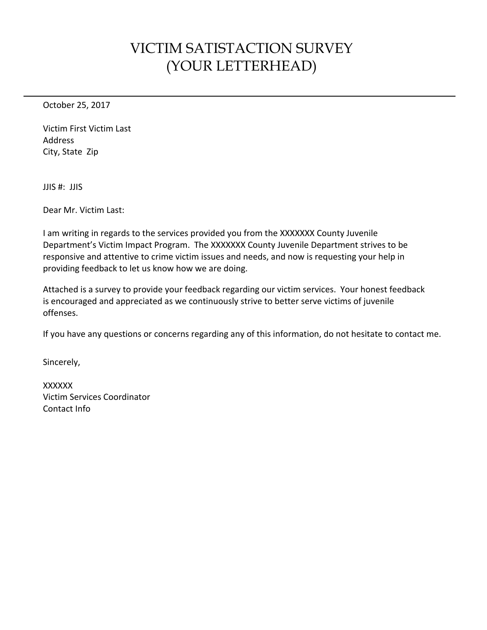## VICTIM SATISTACTION SURVEY (YOUR LETTERHEAD)

October 25, 2017

<span id="page-0-0"></span>Victim First Victim Last Address City, State Zip

JJIS #: JJIS

Dear Mr. [Victim Last:](#page-0-0)

I am writing in regards to the services provided you from the XXXXXXX County Juvenile Department's Victim Impact Program. The XXXXXXX County Juvenile Department strives to be responsive and attentive to crime victim issues and needs, and now is requesting your help in providing feedback to let us know how we are doing.

Attached is a survey to provide your feedback regarding our victim services. Your honest feedback is encouraged and appreciated as we continuously strive to better serve victims of juvenile offenses.

If you have any questions or concerns regarding any of this information, do not hesitate to contact me.

Sincerely,

**XXXXXX** Victim Services Coordinator Contact Info